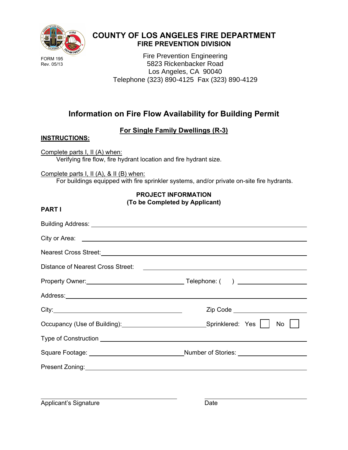

## **COUNTY OF LOS ANGELES FIRE DEPARTMENT FIRE PREVENTION DIVISION**

Fire Prevention Engineering 5823 Rickenbacker Road Los Angeles, CA 90040 Telephone (323) 890-4125 Fax (323) 890-4129

# **Information on Fire Flow Availability for Building Permit**

## **For Single Family Dwellings (R-3)**

### **INSTRUCTIONS:**

**PART I**

Complete parts I, II (A) when: Verifying fire flow, fire hydrant location and fire hydrant size.

Complete parts I, II (A), & II (B) when:

For buildings equipped with fire sprinkler systems, and/or private on-site fire hydrants.

### **PROJECT INFORMATION (To be Completed by Applicant)**

| City:<br>Zip Code __________________________                                                                                                                                                                                   |
|--------------------------------------------------------------------------------------------------------------------------------------------------------------------------------------------------------------------------------|
| $No$ $\vert$ $\vert$                                                                                                                                                                                                           |
|                                                                                                                                                                                                                                |
|                                                                                                                                                                                                                                |
| Present Zoning: North Control of the Control of the Control of the Control of the Control of the Control of the Control of the Control of the Control of the Control of the Control of the Control of the Control of the Contr |
|                                                                                                                                                                                                                                |
|                                                                                                                                                                                                                                |

Applicant's Signature Date

 $\overline{a}$